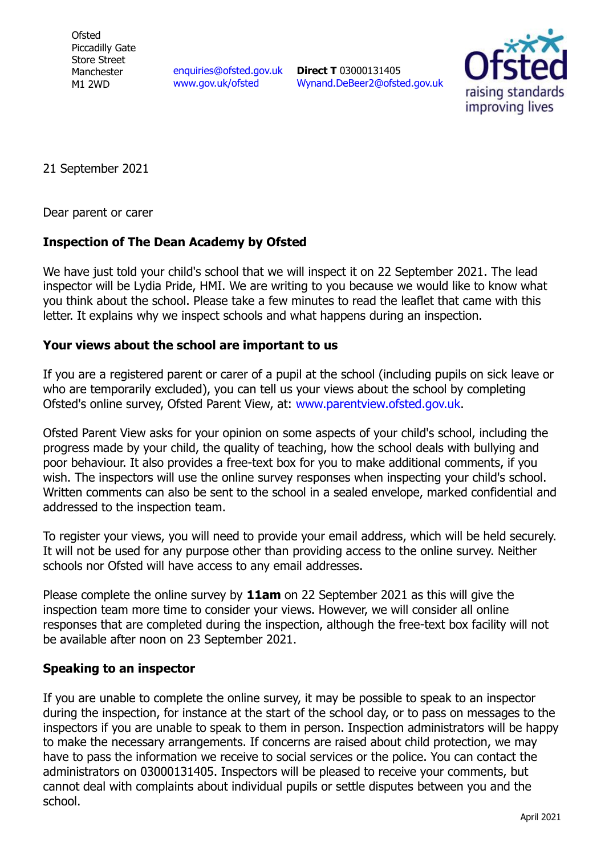**Ofsted** Piccadilly Gate Store Street Manchester M1 2WD

enquiries@ofsted.gov.uk www.gov.uk/ofsted

**Direct T** 03000131405 Wynand.DeBeer2@ofsted.gov.uk



21 September 2021

Dear parent or carer

## **Inspection of The Dean Academy by Ofsted**

We have just told your child's school that we will inspect it on 22 September 2021. The lead inspector will be Lydia Pride, HMI. We are writing to you because we would like to know what you think about the school. Please take a few minutes to read the leaflet that came with this letter. It explains why we inspect schools and what happens during an inspection.

## **Your views about the school are important to us**

If you are a registered parent or carer of a pupil at the school (including pupils on sick leave or who are temporarily excluded), you can tell us your views about the school by completing Ofsted's online survey, Ofsted Parent View, at: www.parentview.ofsted.gov.uk.

Ofsted Parent View asks for your opinion on some aspects of your child's school, including the progress made by your child, the quality of teaching, how the school deals with bullying and poor behaviour. It also provides a free-text box for you to make additional comments, if you wish. The inspectors will use the online survey responses when inspecting your child's school. Written comments can also be sent to the school in a sealed envelope, marked confidential and addressed to the inspection team.

To register your views, you will need to provide your email address, which will be held securely. It will not be used for any purpose other than providing access to the online survey. Neither schools nor Ofsted will have access to any email addresses.

Please complete the online survey by **11am** on 22 September 2021 as this will give the inspection team more time to consider your views. However, we will consider all online responses that are completed during the inspection, although the free-text box facility will not be available after noon on 23 September 2021.

## **Speaking to an inspector**

If you are unable to complete the online survey, it may be possible to speak to an inspector during the inspection, for instance at the start of the school day, or to pass on messages to the inspectors if you are unable to speak to them in person. Inspection administrators will be happy to make the necessary arrangements. If concerns are raised about child protection, we may have to pass the information we receive to social services or the police. You can contact the administrators on 03000131405. Inspectors will be pleased to receive your comments, but cannot deal with complaints about individual pupils or settle disputes between you and the school.